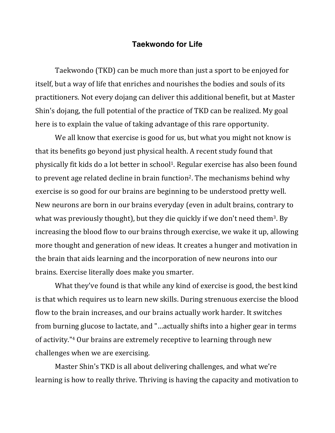## **Taekwondo for Life**

Taekwondo (TKD) can be much more than just a sport to be enjoyed for itself, but a way of life that enriches and nourishes the bodies and souls of its practitioners. Not every dojang can deliver this additional benefit, but at Master Shin's dojang, the full potential of the practice of TKD can be realized. My goal here is to explain the value of taking advantage of this rare opportunity.

We all know that exercise is good for us, but what you might not know is that its benefits go beyond just physical health. A recent study found that physically fit kids do a lot better in school<sup>1</sup>. Regular exercise has also been found to prevent age related decline in brain function<sup>2</sup>. The mechanisms behind why exercise is so good for our brains are beginning to be understood pretty well. New neurons are born in our brains everyday (even in adult brains, contrary to what was previously thought), but they die quickly if we don't need them<sup>3</sup>. By increasing the blood flow to our brains through exercise, we wake it up, allowing more thought and generation of new ideas. It creates a hunger and motivation in the brain that aids learning and the incorporation of new neurons into our brains. Exercise literally does make you smarter.

What they've found is that while any kind of exercise is good, the best kind is that which requires us to learn new skills. During strenuous exercise the blood flow to the brain increases, and our brains actually work harder. It switches from burning glucose to lactate, and "...actually shifts into a higher gear in terms of activity."<sup>4</sup> Our brains are extremely receptive to learning through new challenges when we are exercising.

Master Shin's TKD is all about delivering challenges, and what we're learning is how to really thrive. Thriving is having the capacity and motivation to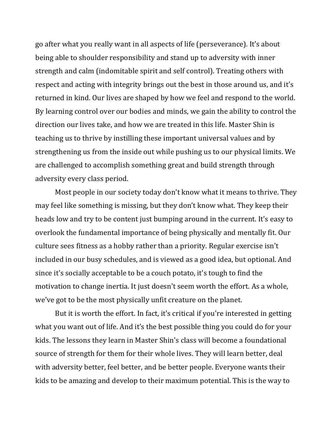go after what you really want in all aspects of life (perseverance). It's about being able to shoulder responsibility and stand up to adversity with inner strength and calm (indomitable spirit and self control). Treating others with respect and acting with integrity brings out the best in those around us, and it's returned in kind. Our lives are shaped by how we feel and respond to the world. By learning control over our bodies and minds, we gain the ability to control the direction our lives take, and how we are treated in this life. Master Shin is teaching us to thrive by instilling these important universal values and by strengthening us from the inside out while pushing us to our physical limits. We are challenged to accomplish something great and build strength through adversity every class period.

Most people in our society today don't know what it means to thrive. They may feel like something is missing, but they don't know what. They keep their heads low and try to be content just bumping around in the current. It's easy to overlook the fundamental importance of being physically and mentally fit. Our culture sees fitness as a hobby rather than a priority. Regular exercise isn't included in our busy schedules, and is viewed as a good idea, but optional. And since it's socially acceptable to be a couch potato, it's tough to find the motivation to change inertia. It just doesn't seem worth the effort. As a whole, we've got to be the most physically unfit creature on the planet.

But it is worth the effort. In fact, it's critical if you're interested in getting what you want out of life. And it's the best possible thing you could do for your kids. The lessons they learn in Master Shin's class will become a foundational source of strength for them for their whole lives. They will learn better, deal with adversity better, feel better, and be better people. Everyone wants their kids to be amazing and develop to their maximum potential. This is the way to